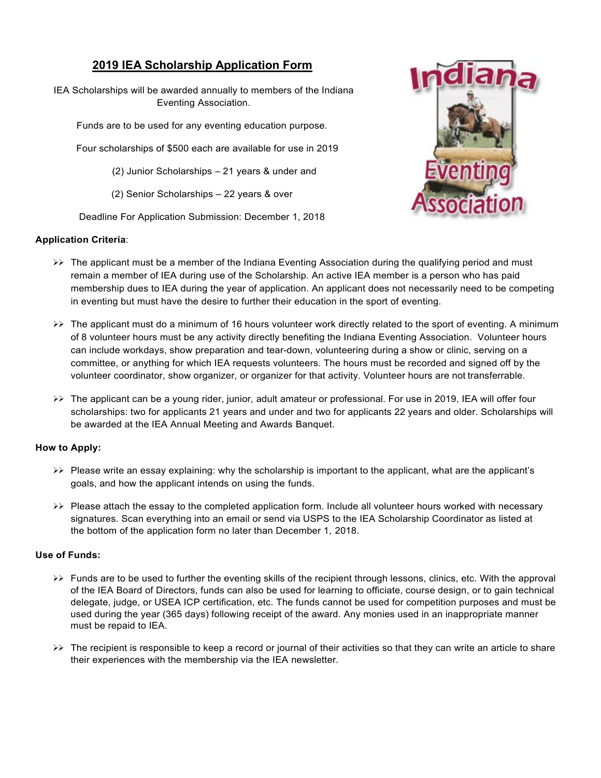## **2019 IEA Scholarship Application Form**

IEA Scholarships will be awarded annually to members of the Indiana Eventing Association.

Funds are to be used for any eventing education purpose.

Four scholarships of \$500 each are available for use in 2019

(2) Junior Scholarships – 21 years & under and

(2) Senior Scholarships – 22 years & over

Deadline For Application Submission: December 1, 2018

### **Application Criteria**:



- $\triangleright\triangleright$  The applicant must be a member of the Indiana Eventing Association during the qualifying period and must remain a member of IEA during use of the Scholarship. An active IEA member is a person who has paid membership dues to IEA during the year of application. An applicant does not necessarily need to be competing in eventing but must have the desire to further their education in the sport of eventing.
- The applicant must do a minimum of 16 hours volunteer work directly related to the sport of eventing. A minimum of 8 volunteer hours must be any activity directly benefiting the Indiana Eventing Association. Volunteer hours can include workdays, show preparation and tear-down, volunteering during a show or clinic, serving on a committee, or anything for which IEA requests volunteers. The hours must be recorded and signed off by the volunteer coordinator, show organizer, or organizer for that activity. Volunteer hours are not transferrable.
- >> The applicant can be a young rider, junior, adult amateur or professional. For use in 2019, IEA will offer four scholarships: two for applicants 21 years and under and two for applicants 22 years and older. Scholarships will be awarded at the IEA Annual Meeting and Awards Banquet.

#### **How to Apply:**

- $\triangleright\triangleright$  Please write an essay explaining: why the scholarship is important to the applicant, what are the applicant's goals, and how the applicant intends on using the funds.
- $\triangleright\triangleright$  Please attach the essay to the completed application form. Include all volunteer hours worked with necessary signatures. Scan everything into an email or send via USPS to the IEA Scholarship Coordinator as listed at the bottom of the application form no later than December 1, 2018.

#### **Use of Funds:**

- $\triangleright\triangleright$  Funds are to be used to further the eventing skills of the recipient through lessons, clinics, etc. With the approval of the IEA Board of Directors, funds can also be used for learning to officiate, course design, or to gain technical delegate, judge, or USEA ICP certification, etc. The funds cannot be used for competition purposes and must be used during the year (365 days) following receipt of the award. Any monies used in an inappropriate manner must be repaid to IEA.
- $\triangleright\triangleright$  The recipient is responsible to keep a record or journal of their activities so that they can write an article to share their experiences with the membership via the IEA newsletter.